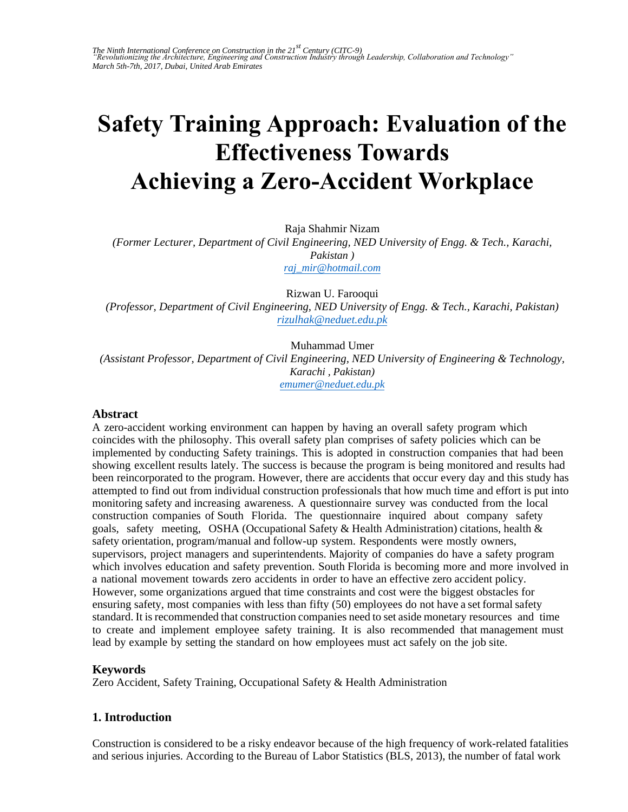# **Safety Training Approach: Evaluation of the Effectiveness Towards Achieving a Zero-Accident Workplace**

[Raja Shahmir Nizam](mailto:raj_mir@hotmail.com) 

*(Former Lecturer, Department of Civil Engineering, NED University of Engg. & Tech., Karachi, Pakistan ) raj\_mir@hotmail.com*

[Rizwan U. Farooqui](mailto:rizulhak@neduet.edu.pk)  *(Professor, Department of Civil Engineering, NED University of Engg. & Tech., Karachi, Pakistan) rizulhak@neduet.edu.pk*

Muhammad Umer

*(Assistant Professor, Department of C[ivil Engineering, NED U](mailto:emumer@neduet.edu.pk)niversity of Engineering & Technology, Karachi , Pakistan) emumer@neduet.edu.pk*

#### **Abstract**

A zero-accident working environment can happen by having an overall safety program which coincides with the philosophy. This overall safety plan comprises of safety policies which can be implemented by conducting Safety trainings. This is adopted in construction companies that had been showing excellent results lately. The success is because the program is being monitored and results had been reincorporated to the program. However, there are accidents that occur every day and this study has attempted to find out from individual construction professionals that how much time and effort is put into monitoring safety and increasing awareness. A questionnaire survey was conducted from the local construction companies of South Florida. The questionnaire inquired about company safety goals, safety meeting, OSHA (Occupational Safety  $\&$  Health Administration) citations, health  $\&$ safety orientation, program/manual and follow-up system. Respondents were mostly owners, supervisors, project managers and superintendents. Majority of companies do have a safety program which involves education and safety prevention. South Florida is becoming more and more involved in a national movement towards zero accidents in order to have an effective zero accident policy. However, some organizations argued that time constraints and cost were the biggest obstacles for ensuring safety, most companies with less than fifty (50) employees do not have a set formal safety standard. It is recommended that construction companies need to set aside monetary resources and time to create and implement employee safety training. It is also recommended that management must lead by example by setting the standard on how employees must act safely on the job site.

## **Keywords**

Zero Accident, Safety Training, Occupational Safety & Health Administration

## **1. Introduction**

Construction is considered to be a risky endeavor because of the high frequency of work-related fatalities and serious injuries. According to the Bureau of Labor Statistics (BLS, 2013), the number of fatal work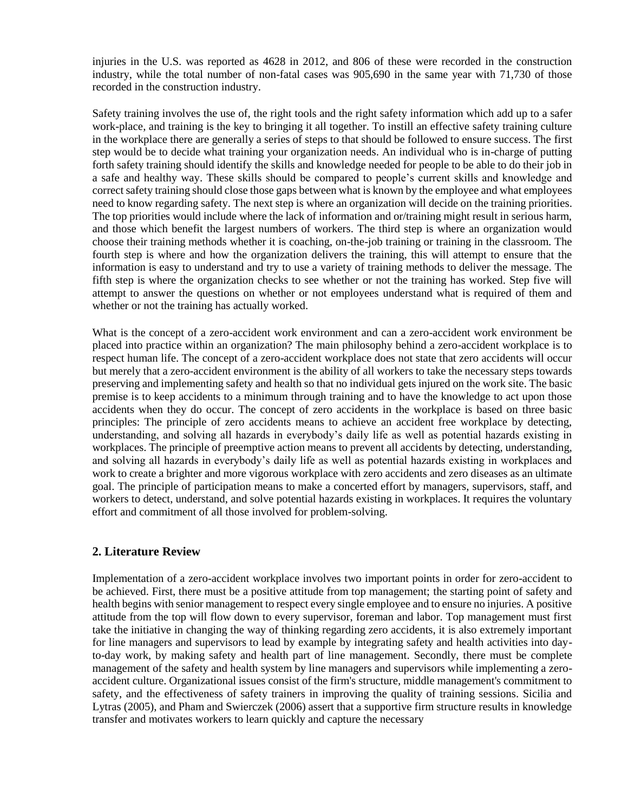injuries in the U.S. was reported as 4628 in 2012, and 806 of these were recorded in the construction industry, while the total number of non-fatal cases was 905,690 in the same year with 71,730 of those recorded in the construction industry.

Safety training involves the use of, the right tools and the right safety information which add up to a safer work-place, and training is the key to bringing it all together. To instill an effective safety training culture in the workplace there are generally a series of steps to that should be followed to ensure success. The first step would be to decide what training your organization needs. An individual who is in-charge of putting forth safety training should identify the skills and knowledge needed for people to be able to do their job in a safe and healthy way. These skills should be compared to people's current skills and knowledge and correct safety training should close those gaps between what is known by the employee and what employees need to know regarding safety. The next step is where an organization will decide on the training priorities. The top priorities would include where the lack of information and or/training might result in serious harm, and those which benefit the largest numbers of workers. The third step is where an organization would choose their training methods whether it is coaching, on-the-job training or training in the classroom. The fourth step is where and how the organization delivers the training, this will attempt to ensure that the information is easy to understand and try to use a variety of training methods to deliver the message. The fifth step is where the organization checks to see whether or not the training has worked. Step five will attempt to answer the questions on whether or not employees understand what is required of them and whether or not the training has actually worked.

What is the concept of a zero-accident work environment and can a zero-accident work environment be placed into practice within an organization? The main philosophy behind a zero-accident workplace is to respect human life. The concept of a zero-accident workplace does not state that zero accidents will occur but merely that a zero-accident environment is the ability of all workers to take the necessary steps towards preserving and implementing safety and health so that no individual gets injured on the work site. The basic premise is to keep accidents to a minimum through training and to have the knowledge to act upon those accidents when they do occur. The concept of zero accidents in the workplace is based on three basic principles: The principle of zero accidents means to achieve an accident free workplace by detecting, understanding, and solving all hazards in everybody's daily life as well as potential hazards existing in workplaces. The principle of preemptive action means to prevent all accidents by detecting, understanding, and solving all hazards in everybody's daily life as well as potential hazards existing in workplaces and work to create a brighter and more vigorous workplace with zero accidents and zero diseases as an ultimate goal. The principle of participation means to make a concerted effort by managers, supervisors, staff, and workers to detect, understand, and solve potential hazards existing in workplaces. It requires the voluntary effort and commitment of all those involved for problem-solving.

## **2. Literature Review**

Implementation of a zero-accident workplace involves two important points in order for zero-accident to be achieved. First, there must be a positive attitude from top management; the starting point of safety and health begins with senior management to respect every single employee and to ensure no injuries. A positive attitude from the top will flow down to every supervisor, foreman and labor. Top management must first take the initiative in changing the way of thinking regarding zero accidents, it is also extremely important for line managers and supervisors to lead by example by integrating safety and health activities into dayto-day work, by making safety and health part of line management. Secondly, there must be complete management of the safety and health system by line managers and supervisors while implementing a zeroaccident culture. Organizational issues consist of the firm's structure, middle management's commitment to safety, and the effectiveness of safety trainers in improving the quality of training sessions. Sicilia and Lytras (2005), and Pham and Swierczek (2006) assert that a supportive firm structure results in knowledge transfer and motivates workers to learn quickly and capture the necessary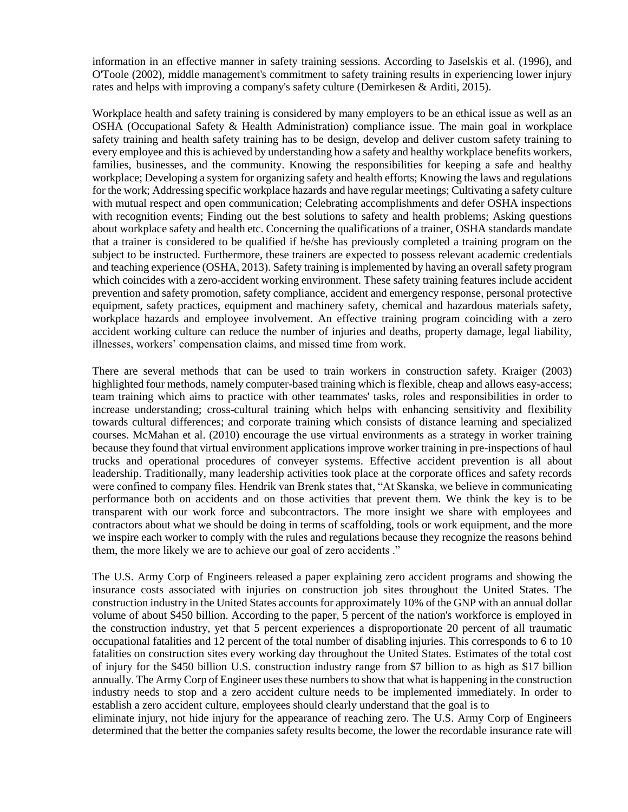information in an effective manner in safety training sessions. According to Jaselskis et al. (1996), and O'Toole (2002), middle management's commitment to safety training results in experiencing lower injury rates and helps with improving a company's safety culture (Demirkesen & Arditi, 2015).

Workplace health and safety training is considered by many employers to be an ethical issue as well as an OSHA (Occupational Safety & Health Administration) compliance issue. The main goal in workplace safety training and health safety training has to be design, develop and deliver custom safety training to every employee and this is achieved by understanding how a safety and healthy workplace benefits workers, families, businesses, and the community. Knowing the responsibilities for keeping a safe and healthy workplace; Developing a system for organizing safety and health efforts; Knowing the laws and regulations for the work; Addressing specific workplace hazards and have regular meetings; Cultivating a safety culture with mutual respect and open communication; Celebrating accomplishments and defer OSHA inspections with recognition events; Finding out the best solutions to safety and health problems; Asking questions about workplace safety and health etc. Concerning the qualifications of a trainer, OSHA standards mandate that a trainer is considered to be qualified if he/she has previously completed a training program on the subject to be instructed. Furthermore, these trainers are expected to possess relevant academic credentials and teaching experience (OSHA, 2013). Safety training is implemented by having an overall safety program which coincides with a zero-accident working environment. These safety training features include accident prevention and safety promotion, safety compliance, accident and emergency response, personal protective equipment, safety practices, equipment and machinery safety, chemical and hazardous materials safety, workplace hazards and employee involvement. An effective training program coinciding with a zero accident working culture can reduce the number of injuries and deaths, property damage, legal liability, illnesses, workers' compensation claims, and missed time from work.

There are several methods that can be used to train workers in construction safety. Kraiger (2003) highlighted four methods, namely computer-based training which is flexible, cheap and allows easy-access; team training which aims to practice with other teammates' tasks, roles and responsibilities in order to increase understanding; cross-cultural training which helps with enhancing sensitivity and flexibility towards cultural differences; and corporate training which consists of distance learning and specialized courses. McMahan et al. (2010) encourage the use virtual environments as a strategy in worker training because they found that virtual environment applications improve worker training in pre-inspections of haul trucks and operational procedures of conveyer systems. Effective accident prevention is all about leadership. Traditionally, many leadership activities took place at the corporate offices and safety records were confined to company files. Hendrik van Brenk states that, "At Skanska, we believe in communicating performance both on accidents and on those activities that prevent them. We think the key is to be transparent with our work force and subcontractors. The more insight we share with employees and contractors about what we should be doing in terms of scaffolding, tools or work equipment, and the more we inspire each worker to comply with the rules and regulations because they recognize the reasons behind them, the more likely we are to achieve our goal of zero accidents ."

The U.S. Army Corp of Engineers released a paper explaining zero accident programs and showing the insurance costs associated with injuries on construction job sites throughout the United States. The construction industry in the United States accounts for approximately 10% of the GNP with an annual dollar volume of about \$450 billion. According to the paper, 5 percent of the nation's workforce is employed in the construction industry, yet that 5 percent experiences a disproportionate 20 percent of all traumatic occupational fatalities and 12 percent of the total number of disabling injuries. This corresponds to 6 to 10 fatalities on construction sites every working day throughout the United States. Estimates of the total cost of injury for the \$450 billion U.S. construction industry range from \$7 billion to as high as \$17 billion annually. The Army Corp of Engineer uses these numbers to show that what is happening in the construction industry needs to stop and a zero accident culture needs to be implemented immediately. In order to establish a zero accident culture, employees should clearly understand that the goal is to

eliminate injury, not hide injury for the appearance of reaching zero. The U.S. Army Corp of Engineers determined that the better the companies safety results become, the lower the recordable insurance rate will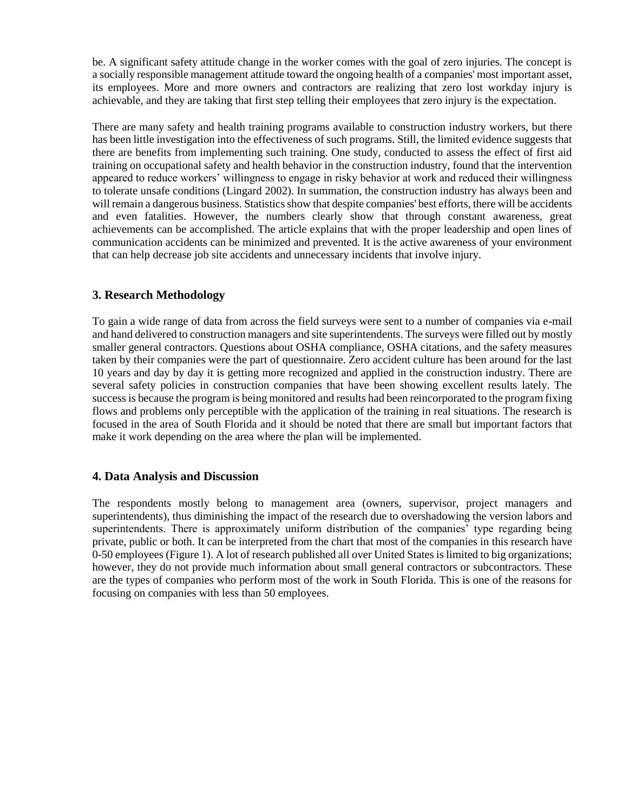be. A significant safety attitude change in the worker comes with the goal of zero injuries. The concept is a socially responsible management attitude toward the ongoing health of a companies' most important asset, its employees. More and more owners and contractors are realizing that zero lost workday injury is achievable, and they are taking that first step telling their employees that zero injury is the expectation.

There are many safety and health training programs available to construction industry workers, but there has been little investigation into the effectiveness of such programs. Still, the limited evidence suggests that there are benefits from implementing such training. One study, conducted to assess the effect of first aid training on occupational safety and health behavior in the construction industry, found that the intervention appeared to reduce workers' willingness to engage in risky behavior at work and reduced their willingness to tolerate unsafe conditions (Lingard 2002). In summation, the construction industry has always been and will remain a dangerous business. Statistics show that despite companies' best efforts, there will be accidents and even fatalities. However, the numbers clearly show that through constant awareness, great achievements can be accomplished. The article explains that with the proper leadership and open lines of communication accidents can be minimized and prevented. It is the active awareness of your environment that can help decrease job site accidents and unnecessary incidents that involve injury.

## **3. Research Methodology**

To gain a wide range of data from across the field surveys were sent to a number of companies via e-mail and hand delivered to construction managers and site superintendents. The surveys were filled out by mostly smaller general contractors. Questions about OSHA compliance, OSHA citations, and the safety measures taken by their companies were the part of questionnaire. Zero accident culture has been around for the last 10 years and day by day it is getting more recognized and applied in the construction industry. There are several safety policies in construction companies that have been showing excellent results lately. The success is because the program is being monitored and results had been reincorporated to the program fixing flows and problems only perceptible with the application of the training in real situations. The research is focused in the area of South Florida and it should be noted that there are small but important factors that make it work depending on the area where the plan will be implemented.

## **4. Data Analysis and Discussion**

The respondents mostly belong to management area (owners, supervisor, project managers and superintendents), thus diminishing the impact of the research due to overshadowing the version labors and superintendents. There is approximately uniform distribution of the companies' type regarding being private, public or both. It can be interpreted from the chart that most of the companies in this research have 0-50 employees (Figure 1). A lot of research published all over United States is limited to big organizations; however, they do not provide much information about small general contractors or subcontractors. These are the types of companies who perform most of the work in South Florida. This is one of the reasons for focusing on companies with less than 50 employees.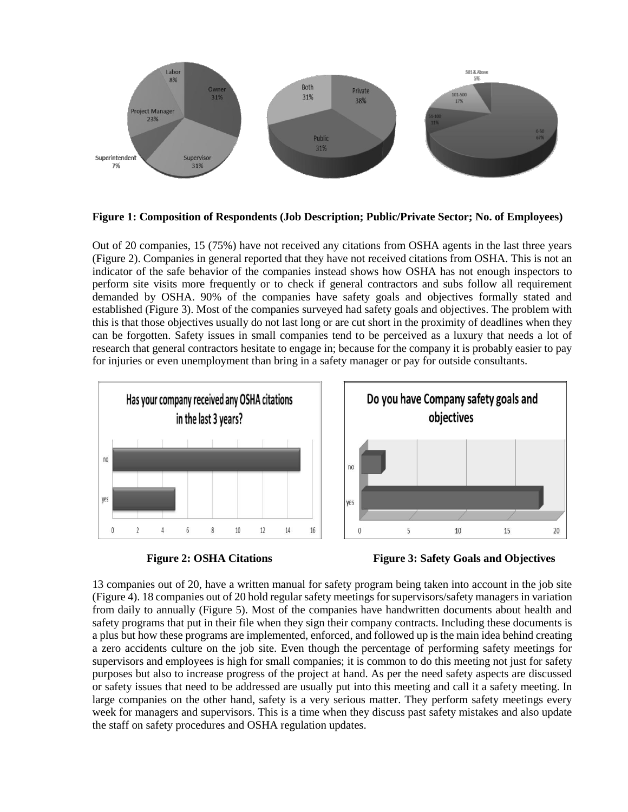

**Figure 1: Composition of Respondents (Job Description; Public/Private Sector; No. of Employees)**

Out of 20 companies, 15 (75%) have not received any citations from OSHA agents in the last three years (Figure 2). Companies in general reported that they have not received citations from OSHA. This is not an indicator of the safe behavior of the companies instead shows how OSHA has not enough inspectors to perform site visits more frequently or to check if general contractors and subs follow all requirement demanded by OSHA. 90% of the companies have safety goals and objectives formally stated and established (Figure 3). Most of the companies surveyed had safety goals and objectives. The problem with this is that those objectives usually do not last long or are cut short in the proximity of deadlines when they can be forgotten. Safety issues in small companies tend to be perceived as a luxury that needs a lot of research that general contractors hesitate to engage in; because for the company it is probably easier to pay for injuries or even unemployment than bring in a safety manager or pay for outside consultants.





**Figure 2: OSHA Citations Figure 3: Safety Goals and Objectives**

13 companies out of 20, have a written manual for safety program being taken into account in the job site (Figure 4). 18 companies out of 20 hold regular safety meetings for supervisors/safety managers in variation from daily to annually (Figure 5). Most of the companies have handwritten documents about health and safety programs that put in their file when they sign their company contracts. Including these documents is a plus but how these programs are implemented, enforced, and followed up is the main idea behind creating a zero accidents culture on the job site. Even though the percentage of performing safety meetings for supervisors and employees is high for small companies; it is common to do this meeting not just for safety purposes but also to increase progress of the project at hand. As per the need safety aspects are discussed or safety issues that need to be addressed are usually put into this meeting and call it a safety meeting. In large companies on the other hand, safety is a very serious matter. They perform safety meetings every week for managers and supervisors. This is a time when they discuss past safety mistakes and also update the staff on safety procedures and OSHA regulation updates.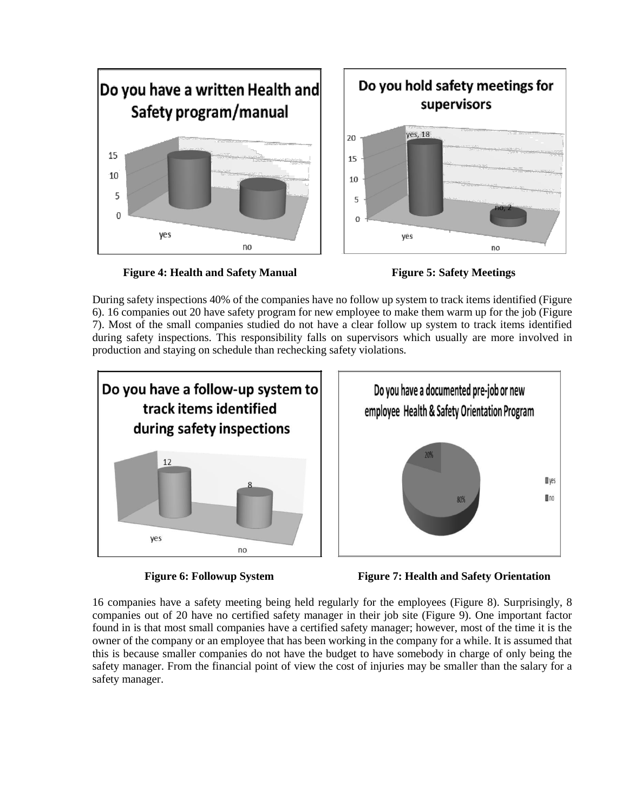

**Figure 4: Health and Safety Manual Figure 5: Safety Meetings**



During safety inspections 40% of the companies have no follow up system to track items identified (Figure 6). 16 companies out 20 have safety program for new employee to make them warm up for the job (Figure 7). Most of the small companies studied do not have a clear follow up system to track items identified during safety inspections. This responsibility falls on supervisors which usually are more involved in production and staying on schedule than rechecking safety violations.





16 companies have a safety meeting being held regularly for the employees (Figure 8). Surprisingly, 8 companies out of 20 have no certified safety manager in their job site (Figure 9). One important factor found in is that most small companies have a certified safety manager; however, most of the time it is the owner of the company or an employee that has been working in the company for a while. It is assumed that this is because smaller companies do not have the budget to have somebody in charge of only being the safety manager. From the financial point of view the cost of injuries may be smaller than the salary for a safety manager.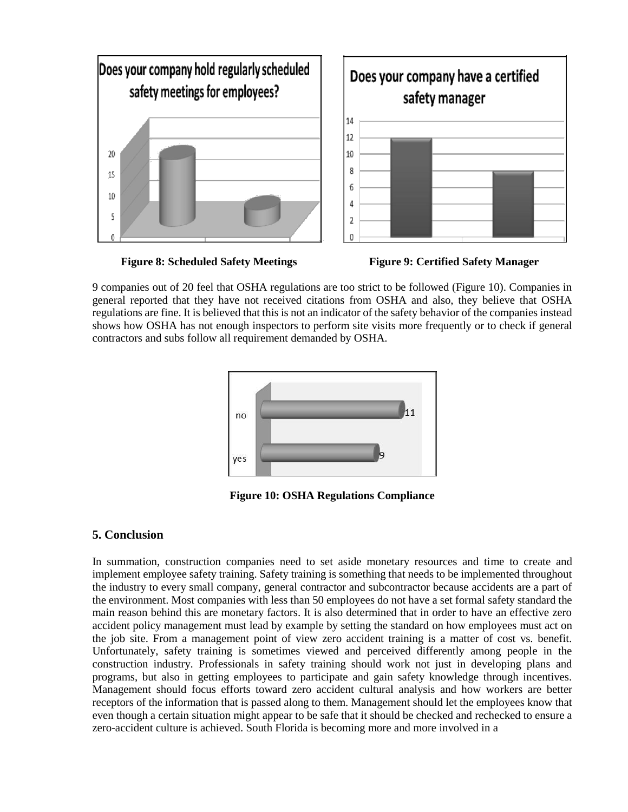

**Figure 8: Scheduled Safety Meetings Figure 9: Certified Safety Manager**



9 companies out of 20 feel that OSHA regulations are too strict to be followed (Figure 10). Companies in general reported that they have not received citations from OSHA and also, they believe that OSHA regulations are fine. It is believed that this is not an indicator of the safety behavior of the companies instead shows how OSHA has not enough inspectors to perform site visits more frequently or to check if general contractors and subs follow all requirement demanded by OSHA.



**Figure 10: OSHA Regulations Compliance**

## **5. Conclusion**

In summation, construction companies need to set aside monetary resources and time to create and implement employee safety training. Safety training is something that needs to be implemented throughout the industry to every small company, general contractor and subcontractor because accidents are a part of the environment. Most companies with less than 50 employees do not have a set formal safety standard the main reason behind this are monetary factors. It is also determined that in order to have an effective zero accident policy management must lead by example by setting the standard on how employees must act on the job site. From a management point of view zero accident training is a matter of cost vs. benefit. Unfortunately, safety training is sometimes viewed and perceived differently among people in the construction industry. Professionals in safety training should work not just in developing plans and programs, but also in getting employees to participate and gain safety knowledge through incentives. Management should focus efforts toward zero accident cultural analysis and how workers are better receptors of the information that is passed along to them. Management should let the employees know that even though a certain situation might appear to be safe that it should be checked and rechecked to ensure a zero-accident culture is achieved. South Florida is becoming more and more involved in a